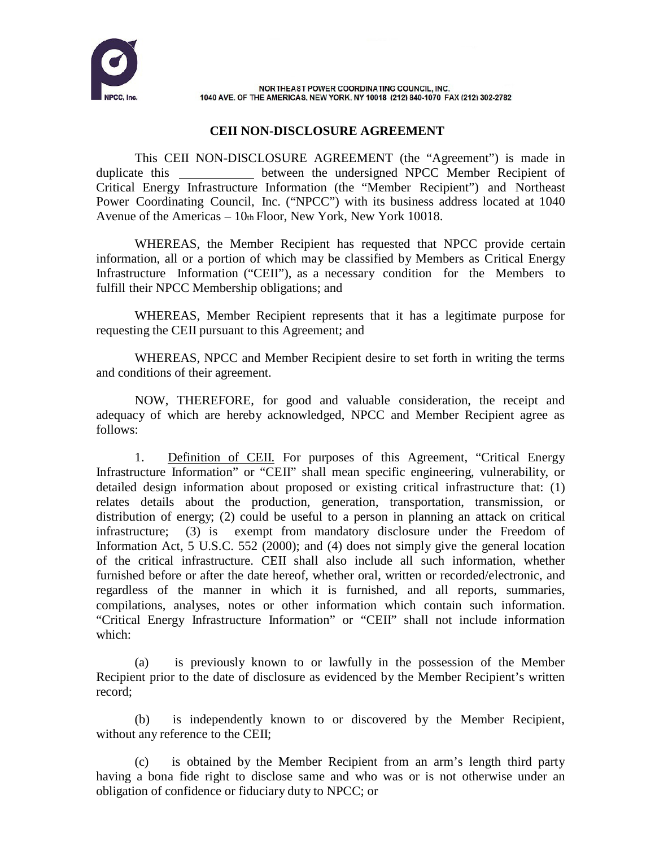

NORTHEAST POWER COORDINATING COUNCIL, INC. 1040 AVE. OF THE AMERICAS, NEW YORK, NY 10018 (212) 840-1070 FAX (212) 302-2782

## **CEII NON-DISCLOSURE AGREEMENT**

This CEII NON-DISCLOSURE AGREEMENT (the "Agreement") is made in duplicate this between the undersigned NPCC Member Recipient of Critical Energy Infrastructure Information (the "Member Recipient") and Northeast Power Coordinating Council, Inc. ("NPCC") with its business address located at 1040 Avenue of the Americas  $-10$ th Floor, New York, New York 10018.

WHEREAS, the Member Recipient has requested that NPCC provide certain information, all or a portion of which may be classified by Members as Critical Energy Infrastructure Information ("CEII"), as a necessary condition for the Members to fulfill their NPCC Membership obligations; and

WHEREAS, Member Recipient represents that it has a legitimate purpose for requesting the CEII pursuant to this Agreement; and

WHEREAS, NPCC and Member Recipient desire to set forth in writing the terms and conditions of their agreement.

NOW, THEREFORE, for good and valuable consideration, the receipt and adequacy of which are hereby acknowledged, NPCC and Member Recipient agree as follows:

1. Definition of CEII. For purposes of this Agreement, "Critical Energy Infrastructure Information" or "CEII" shall mean specific engineering, vulnerability, or detailed design information about proposed or existing critical infrastructure that: (1) relates details about the production, generation, transportation, transmission, or distribution of energy; (2) could be useful to a person in planning an attack on critical infrastructure; (3) is exempt from mandatory disclosure under the Freedom of Information Act, 5 U.S.C. 552 (2000); and (4) does not simply give the general location of the critical infrastructure. CEII shall also include all such information, whether furnished before or after the date hereof, whether oral, written or recorded/electronic, and regardless of the manner in which it is furnished, and all reports, summaries, compilations, analyses, notes or other information which contain such information. "Critical Energy Infrastructure Information" or "CEII" shall not include information which:

(a) is previously known to or lawfully in the possession of the Member Recipient prior to the date of disclosure as evidenced by the Member Recipient's written record;

(b) is independently known to or discovered by the Member Recipient, without any reference to the CEII;

(c) is obtained by the Member Recipient from an arm's length third party having a bona fide right to disclose same and who was or is not otherwise under an obligation of confidence or fiduciary duty to NPCC; or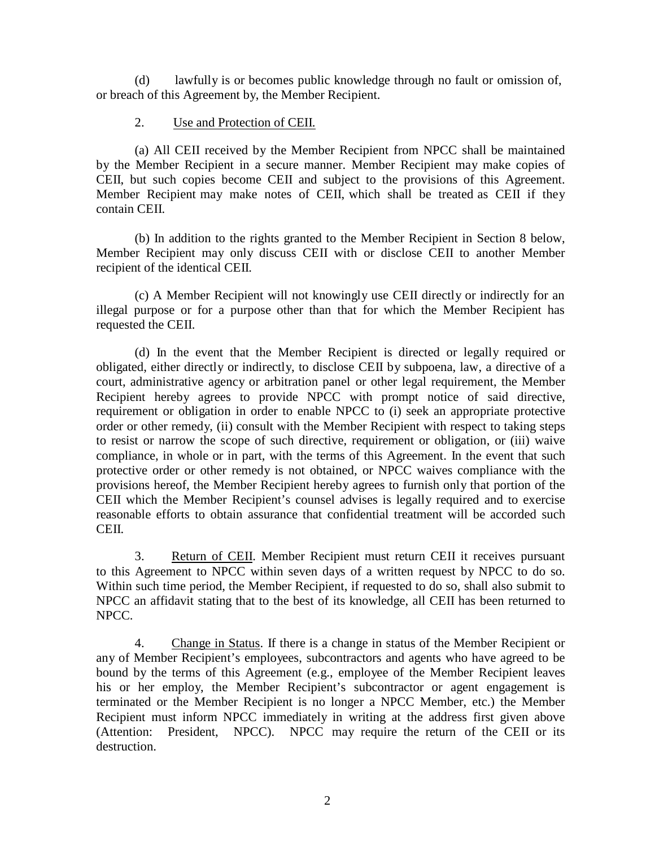(d) lawfully is or becomes public knowledge through no fault or omission of, or breach of this Agreement by, the Member Recipient.

## 2. Use and Protection of CEII.

(a) All CEII received by the Member Recipient from NPCC shall be maintained by the Member Recipient in a secure manner. Member Recipient may make copies of CEII, but such copies become CEII and subject to the provisions of this Agreement. Member Recipient may make notes of CEII, which shall be treated as CEII if they contain CEII.

(b) In addition to the rights granted to the Member Recipient in Section 8 below, Member Recipient may only discuss CEII with or disclose CEII to another Member recipient of the identical CEII.

(c) A Member Recipient will not knowingly use CEII directly or indirectly for an illegal purpose or for a purpose other than that for which the Member Recipient has requested the CEII.

(d) In the event that the Member Recipient is directed or legally required or obligated, either directly or indirectly, to disclose CEII by subpoena, law, a directive of a court, administrative agency or arbitration panel or other legal requirement, the Member Recipient hereby agrees to provide NPCC with prompt notice of said directive, requirement or obligation in order to enable NPCC to (i) seek an appropriate protective order or other remedy, (ii) consult with the Member Recipient with respect to taking steps to resist or narrow the scope of such directive, requirement or obligation, or (iii) waive compliance, in whole or in part, with the terms of this Agreement. In the event that such protective order or other remedy is not obtained, or NPCC waives compliance with the provisions hereof, the Member Recipient hereby agrees to furnish only that portion of the CEII which the Member Recipient's counsel advises is legally required and to exercise reasonable efforts to obtain assurance that confidential treatment will be accorded such CEII.

3. Return of CEII. Member Recipient must return CEII it receives pursuant to this Agreement to NPCC within seven days of a written request by NPCC to do so. Within such time period, the Member Recipient, if requested to do so, shall also submit to NPCC an affidavit stating that to the best of its knowledge, all CEII has been returned to NPCC.

4. Change in Status. If there is a change in status of the Member Recipient or any of Member Recipient's employees, subcontractors and agents who have agreed to be bound by the terms of this Agreement (e.g., employee of the Member Recipient leaves his or her employ, the Member Recipient's subcontractor or agent engagement is terminated or the Member Recipient is no longer a NPCC Member, etc.) the Member Recipient must inform NPCC immediately in writing at the address first given above (Attention: President, NPCC). NPCC may require the return of the CEII or its destruction.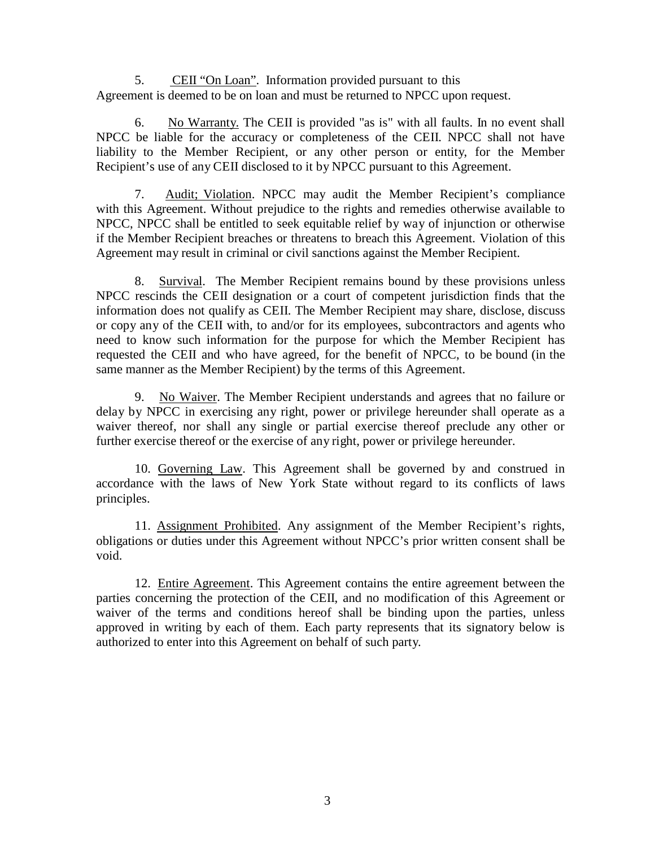5. CEII "On Loan". Information provided pursuant to this Agreement is deemed to be on loan and must be returned to NPCC upon request.

6. No Warranty. The CEII is provided "as is" with all faults. In no event shall NPCC be liable for the accuracy or completeness of the CEII. NPCC shall not have liability to the Member Recipient, or any other person or entity, for the Member Recipient's use of any CEII disclosed to it by NPCC pursuant to this Agreement.

7. Audit; Violation. NPCC may audit the Member Recipient's compliance with this Agreement. Without prejudice to the rights and remedies otherwise available to NPCC, NPCC shall be entitled to seek equitable relief by way of injunction or otherwise if the Member Recipient breaches or threatens to breach this Agreement. Violation of this Agreement may result in criminal or civil sanctions against the Member Recipient.

8. Survival. The Member Recipient remains bound by these provisions unless NPCC rescinds the CEII designation or a court of competent jurisdiction finds that the information does not qualify as CEII. The Member Recipient may share, disclose, discuss or copy any of the CEII with, to and/or for its employees, subcontractors and agents who need to know such information for the purpose for which the Member Recipient has requested the CEII and who have agreed, for the benefit of NPCC, to be bound (in the same manner as the Member Recipient) by the terms of this Agreement.

9. No Waiver. The Member Recipient understands and agrees that no failure or delay by NPCC in exercising any right, power or privilege hereunder shall operate as a waiver thereof, nor shall any single or partial exercise thereof preclude any other or further exercise thereof or the exercise of any right, power or privilege hereunder.

10. Governing Law. This Agreement shall be governed by and construed in accordance with the laws of New York State without regard to its conflicts of laws principles.

11. Assignment Prohibited. Any assignment of the Member Recipient's rights, obligations or duties under this Agreement without NPCC's prior written consent shall be void.

12. Entire Agreement. This Agreement contains the entire agreement between the parties concerning the protection of the CEII, and no modification of this Agreement or waiver of the terms and conditions hereof shall be binding upon the parties, unless approved in writing by each of them. Each party represents that its signatory below is authorized to enter into this Agreement on behalf of such party.